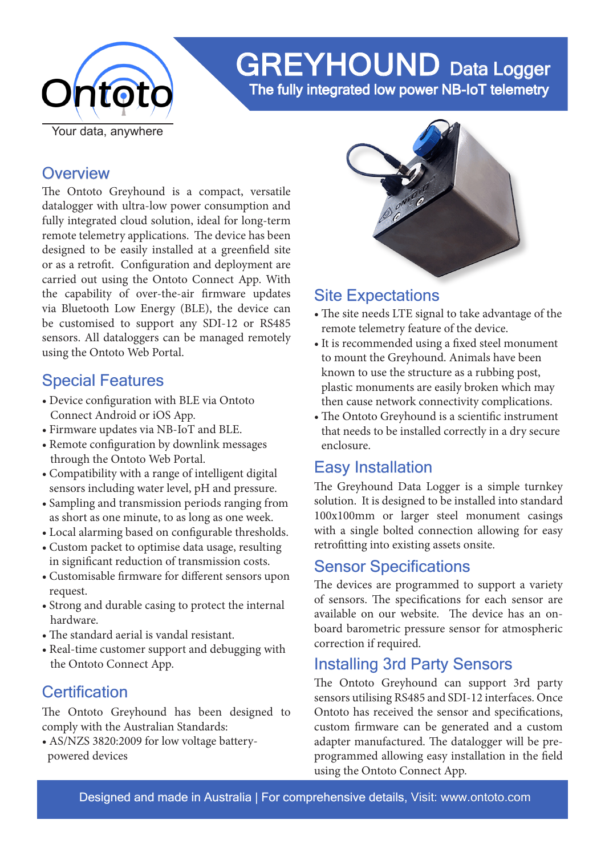

# GREYHOUND Data Logger

The fully integrated low power NB-IoT telemetry

### **Overview**

The Ontoto Greyhound is a compact, versatile datalogger with ultra-low power consumption and fully integrated cloud solution, ideal for long-term remote telemetry applications. The device has been designed to be easily installed at a greenfield site or as a retrofit. Configuration and deployment are carried out using the Ontoto Connect App. With the capability of over-the-air firmware updates via Bluetooth Low Energy (BLE), the device can be customised to support any SDI-12 or RS485 sensors. All dataloggers can be managed remotely using the Ontoto Web Portal.

# Special Features

- Device configuration with BLE via Ontoto Connect Android or iOS App.
- Firmware updates via NB-IoT and BLE.
- Remote configuration by downlink messages through the Ontoto Web Portal.
- Compatibility with a range of intelligent digital sensors including water level, pH and pressure.
- Sampling and transmission periods ranging from as short as one minute, to as long as one week.
- Local alarming based on configurable thresholds.
- Custom packet to optimise data usage, resulting in significant reduction of transmission costs.
- Customisable firmware for different sensors upon request.
- Strong and durable casing to protect the internal hardware.
- The standard aerial is vandal resistant.
- Real-time customer support and debugging with the Ontoto Connect App.

# **Certification**

The Ontoto Greyhound has been designed to comply with the Australian Standards:

• AS/NZS 3820:2009 for low voltage battery powered devices



# Site Expectations

- The site needs LTE signal to take advantage of the remote telemetry feature of the device.
- It is recommended using a fixed steel monument to mount the Greyhound. Animals have been known to use the structure as a rubbing post, plastic monuments are easily broken which may then cause network connectivity complications.
- The Ontoto Greyhound is a scientific instrument that needs to be installed correctly in a dry secure enclosure.

# Easy Installation

The Greyhound Data Logger is a simple turnkey solution. It is designed to be installed into standard 100x100mm or larger steel monument casings with a single bolted connection allowing for easy retrofitting into existing assets onsite.

# Sensor Specifications

The devices are programmed to support a variety of sensors. The specifications for each sensor are available on our website. The device has an onboard barometric pressure sensor for atmospheric correction if required.

# Installing 3rd Party Sensors

The Ontoto Greyhound can support 3rd party sensors utilising RS485 and SDI-12 interfaces. Once Ontoto has received the sensor and specifications, custom firmware can be generated and a custom adapter manufactured. The datalogger will be preprogrammed allowing easy installation in the field using the Ontoto Connect App.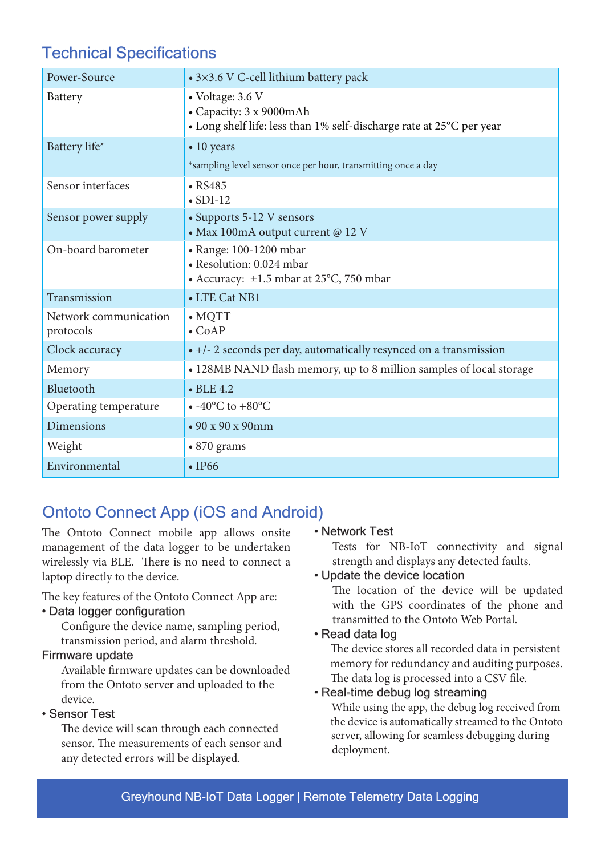# Technical Specifications

| Power-Source                       | • 3×3.6 V C-cell lithium battery pack                                                                               |
|------------------------------------|---------------------------------------------------------------------------------------------------------------------|
| Battery                            | • Voltage: 3.6 V<br>• Capacity: 3 x 9000mAh<br>• Long shelf life: less than 1% self-discharge rate at 25°C per year |
| Battery life*                      | $\bullet$ 10 years<br>*sampling level sensor once per hour, transmitting once a day                                 |
| Sensor interfaces                  | $\cdot$ RS485<br>$\bullet$ SDI-12                                                                                   |
| Sensor power supply                | • Supports 5-12 V sensors<br>• Max 100mA output current @ 12 V                                                      |
| On-board barometer                 | • Range: 100-1200 mbar<br>• Resolution: 0.024 mbar<br>• Accuracy: ±1.5 mbar at 25°C, 750 mbar                       |
| Transmission                       | • LTE Cat NB1                                                                                                       |
| Network communication<br>protocols | $\bullet$ MQTT<br>$\bullet$ CoAP                                                                                    |
| Clock accuracy                     | • +/- 2 seconds per day, automatically resynced on a transmission                                                   |
| Memory                             | • 128MB NAND flash memory, up to 8 million samples of local storage                                                 |
| Bluetooth                          | $\bullet$ BLE 4.2                                                                                                   |
| Operating temperature              | $\bullet$ -40°C to +80°C                                                                                            |
| <b>Dimensions</b>                  | $\cdot$ 90 x 90 x 90mm                                                                                              |
| Weight                             | $\cdot$ 870 grams                                                                                                   |
| Environmental                      | $\cdot$ IP66                                                                                                        |

# Ontoto Connect App (iOS and Android)

The Ontoto Connect mobile app allows onsite management of the data logger to be undertaken wirelessly via BLE. There is no need to connect a laptop directly to the device.

The key features of the Ontoto Connect App are:

#### • Data logger configuration

 Configure the device name, sampling period, transmission period, and alarm threshold.

#### Firmware update

 Available firmware updates can be downloaded from the Ontoto server and uploaded to the device.

#### • Sensor Test

 The device will scan through each connected sensor. The measurements of each sensor and any detected errors will be displayed.

#### • Network Test

Tests for NB-IoT connectivity and signal strength and displays any detected faults.

#### • Update the device location

The location of the device will be updated with the GPS coordinates of the phone and transmitted to the Ontoto Web Portal.

#### • Read data log

 The device stores all recorded data in persistent memory for redundancy and auditing purposes. The data log is processed into a CSV file.

#### • Real-time debug log streaming

 While using the app, the debug log received from the device is automatically streamed to the Ontoto server, allowing for seamless debugging during deployment.